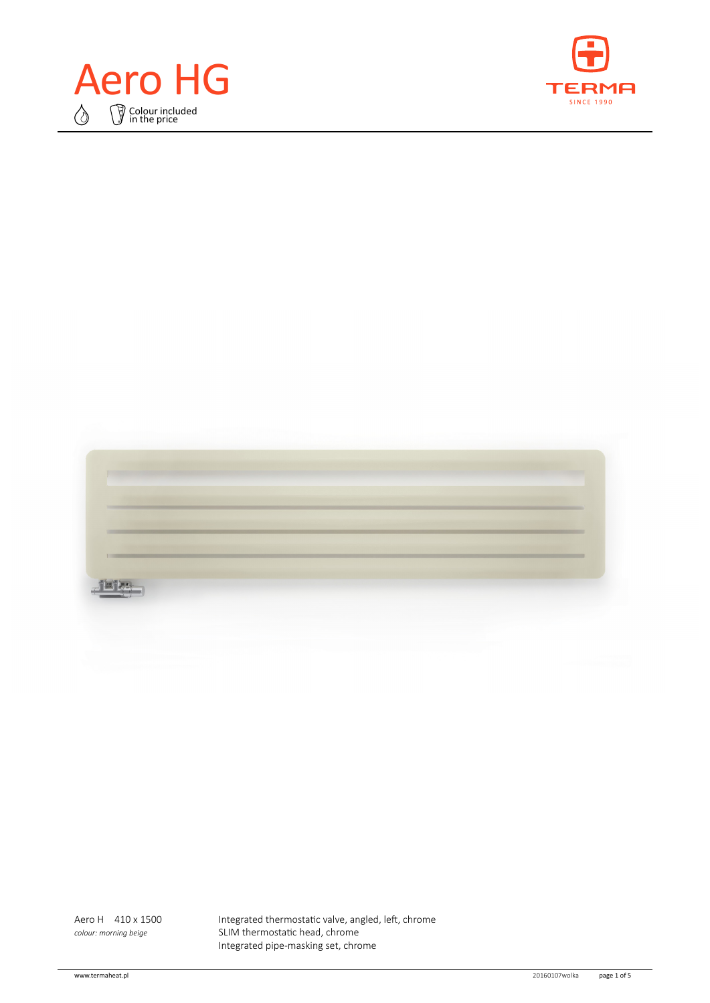



| <b>The Control</b> |  |  |  |
|--------------------|--|--|--|
|                    |  |  |  |
|                    |  |  |  |
|                    |  |  |  |
|                    |  |  |  |
|                    |  |  |  |
|                    |  |  |  |
|                    |  |  |  |
|                    |  |  |  |

Aero H 410 x 1500 Integrated thermostatic valve, angled, left, chrome *colour: morning beige* SLIM thermostatic head, chrome Integrated pipe‑masking set, chrome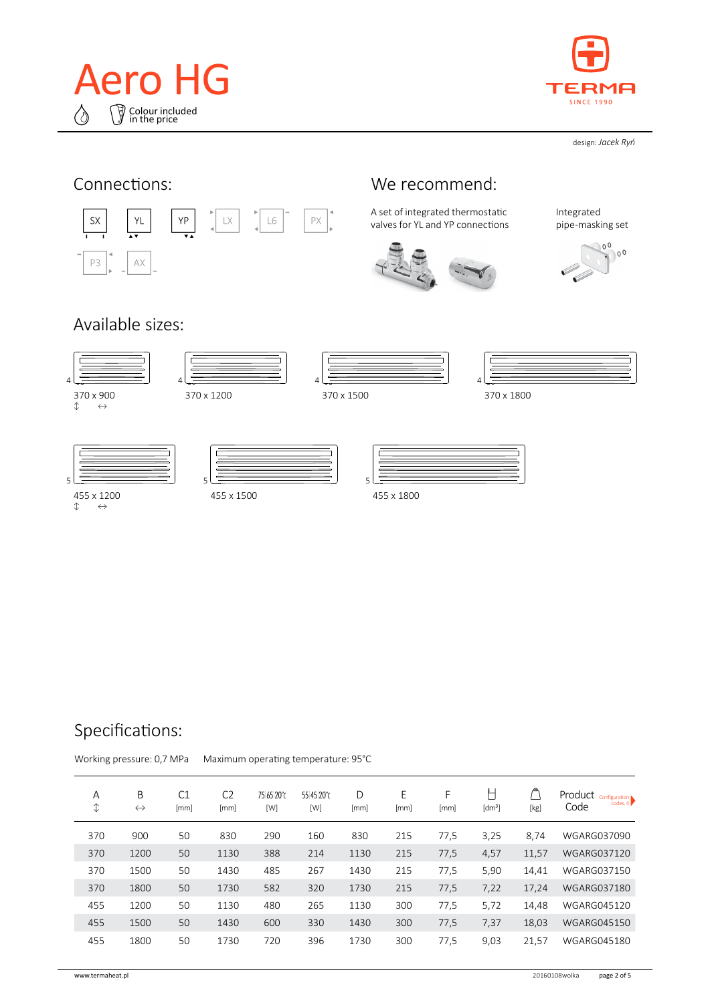



design: *Jacek Ryń*



# Specifications:

Working pressure: 0,7 MPa Maximum operating temperature: 95°C

|  | A<br>$\hat{\downarrow}$ | B<br>$\leftrightarrow$ | C1<br>[mm] | C <sub>2</sub><br>[mm] | 75 65 20°C<br>[W] | 55 45 20°C<br>[W] | D<br>[mm] | E<br>[mm] | F<br>[mm] | ┡<br>[dm <sup>3</sup> ] | [kg]  | Product<br>Configuration<br>codes 4<br>Code |
|--|-------------------------|------------------------|------------|------------------------|-------------------|-------------------|-----------|-----------|-----------|-------------------------|-------|---------------------------------------------|
|  | 370                     | 900                    | 50         | 830                    | 290               | 160               | 830       | 215       | 77,5      | 3,25                    | 8,74  | WGARG037090                                 |
|  | 370                     | 1200                   | 50         | 1130                   | 388               | 214               | 1130      | 215       | 77,5      | 4,57                    | 11,57 | <b>WGARG037120</b>                          |
|  | 370                     | 1500                   | 50         | 1430                   | 485               | 267               | 1430      | 215       | 77,5      | 5,90                    | 14,41 | <b>WGARG037150</b>                          |
|  | 370                     | 1800                   | 50         | 1730                   | 582               | 320               | 1730      | 215       | 77,5      | 7,22                    | 17,24 | <b>WGARG037180</b>                          |
|  | 455                     | 1200                   | 50         | 1130                   | 480               | 265               | 1130      | 300       | 77,5      | 5,72                    | 14,48 | <b>WGARG045120</b>                          |
|  | 455                     | 1500                   | 50         | 1430                   | 600               | 330               | 1430      | 300       | 77,5      | 7,37                    | 18,03 | <b>WGARG045150</b>                          |
|  | 455                     | 1800                   | 50         | 1730                   | 720               | 396               | 1730      | 300       | 77,5      | 9,03                    | 21,57 | <b>WGARG045180</b>                          |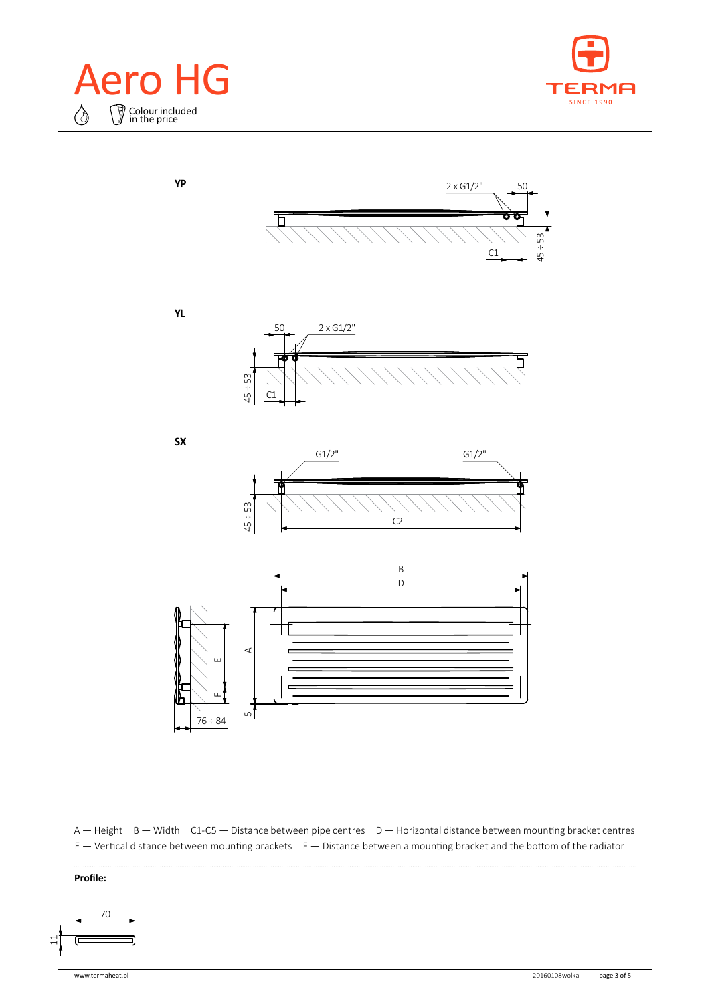





**YL**

**YP**



**SX**





A — Height B — Width C1-C5 — Distance between pipe centres D — Horizontal distance between mounting bracket centres  $E -$  Vertical distance between mounting brackets  $F -$  Distance between a mounting bracket and the bottom of the radiator

#### **Profile:**

 $\ddotsc$ 

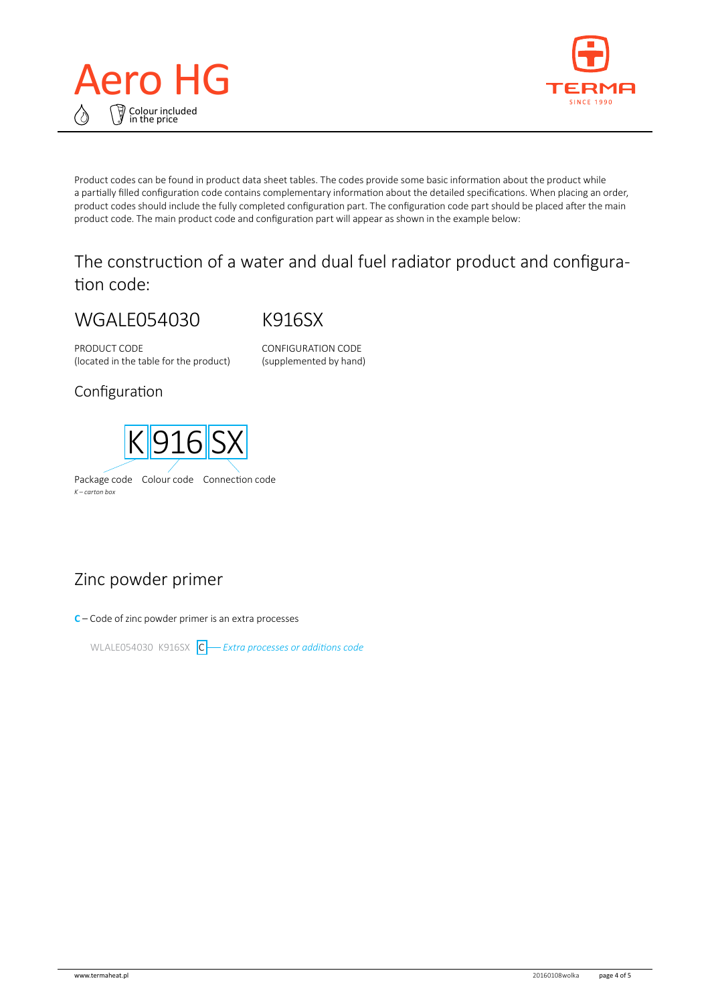



Product codes can be found in product data sheet tables. The codes provide some basic information about the product while a partially filled configuration code contains complementary information about the detailed specifications. When placing an order, product codes should include the fully completed configuration part. The configuration code part should be placed after the main product code. The main product code and configuration part will appear as shown in the example below:

## The construction of a water and dual fuel radiator product and configuration code:

# WGALE054030

K916SX

PRODUCT CODE (located in the table for the product) CONFIGURATION CODE (supplemented by hand)

#### Configuration



# Zinc powder primer

**C** – Code of zinc powder primer is an extra processes

WLALE054030 K916SX C *Extra processes or additions code*